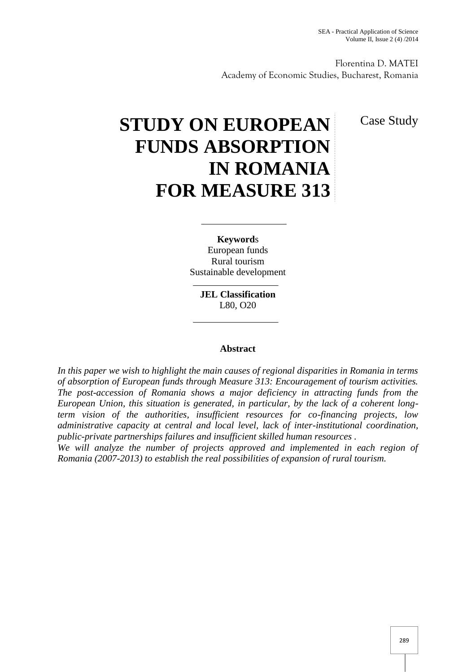Florentina D. MATEI Academy of Economic Studies, Bucharest, Romania

Case Study

# **STUDY ON EUROPEAN FUNDS ABSORPTION IN ROMANIA FOR MEASURE 313**

**Keyword**s European funds Rural tourism Sustainable development

> **JEL Classification** L80, O20

#### **Abstract**

*In this paper we wish to highlight the main causes of regional disparities in Romania in terms of absorption of European funds through Measure 313: Encouragement of tourism activities. The post-accession of Romania shows a major deficiency in attracting funds from the European Union, this situation is generated, in particular, by the lack of a coherent longterm vision of the authorities, insufficient resources for co-financing projects, low administrative capacity at central and local level, lack of inter-institutional coordination, public-private partnerships failures and insufficient skilled human resources .*

*We will analyze the number of projects approved and implemented in each region of Romania (2007-2013) to establish the real possibilities of expansion of rural tourism.*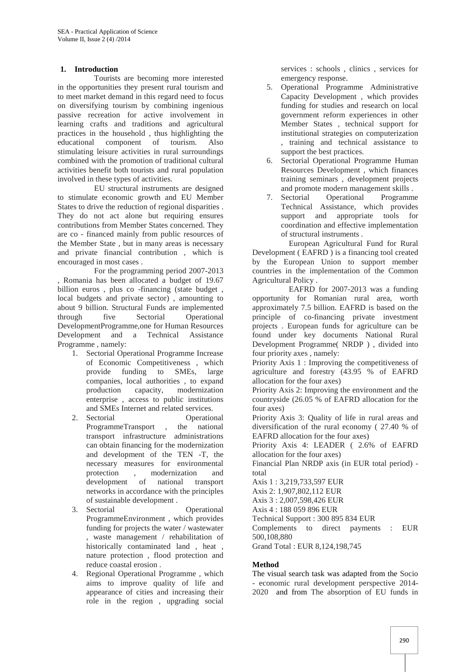#### **1. Introduction**

Tourists are becoming more interested in the opportunities they present rural tourism and to meet market demand in this regard need to focus on diversifying tourism by combining ingenious passive recreation for active involvement in learning crafts and traditions and agricultural practices in the household , thus highlighting the educational component of tourism. Also stimulating leisure activities in rural surroundings combined with the promotion of traditional cultural activities benefit both tourists and rural population involved in these types of activities.

EU structural instruments are designed to stimulate economic growth and EU Member States to drive the reduction of regional disparities . They do not act alone but requiring ensures contributions from Member States concerned. They are co - financed mainly from public resources of the Member State , but in many areas is necessary and private financial contribution , which is encouraged in most cases .

For the programming period 2007-2013 , Romania has been allocated a budget of 19.67 billion euros , plus co -financing (state budget , local budgets and private sector) , amounting to about 9 billion. Structural Funds are implemented through five Sectorial Operational DevelopmentProgramme,one for Human Resources Development and a Technical Assistance Programme , namely:

- 1. Sectorial Operational Programme Increase of Economic Competitiveness , which provide funding to SMEs, large companies, local authorities , to expand production capacity, modernization enterprise , access to public institutions and SMEs Internet and related services.
- 2. Sectorial Operational<br>ProgrammeTransport , the national ProgrammeTransport , the national transport infrastructure administrations can obtain financing for the modernization and development of the TEN -T, the necessary measures for environmental protection , modernization and development of national transport networks in accordance with the principles of sustainable development .
- 3. Sectorial Operational ProgrammeEnvironment , which provides funding for projects the water / wastewater , waste management / rehabilitation of historically contaminated land , heat , nature protection , flood protection and reduce coastal erosion .
- 4. Regional Operational Programme , which aims to improve quality of life and appearance of cities and increasing their role in the region , upgrading social

services : schools , clinics , services for emergency response.

- 5. Operational Programme Administrative Capacity Development , which provides funding for studies and research on local government reform experiences in other Member States , technical support for institutional strategies on computerization , training and technical assistance to support the best practices.
- 6. Sectorial Operational Programme Human Resources Development , which finances training seminars , development projects and promote modern management skills .<br>Sectorial Operational Programme
- 7. Sectorial Technical Assistance, which provides support and appropriate tools for coordination and effective implementation of structural instruments .

European Agricultural Fund for Rural Development ( EAFRD ) is a financing tool created by the European Union to support member countries in the implementation of the Common Agricultural Policy .

EAFRD for 2007-2013 was a funding opportunity for Romanian rural area, worth approximately 7.5 billion. EAFRD is based on the principle of co-financing private investment projects . European funds for agriculture can be found under key documents National Rural Development Programme( NRDP ) , divided into four priority axes , namely:

Priority Axis 1 : Improving the competitiveness of agriculture and forestry (43.95 % of EAFRD allocation for the four axes)

Priority Axis 2: Improving the environment and the countryside (26.05 % of EAFRD allocation for the four axes)

Priority Axis 3: Quality of life in rural areas and diversification of the rural economy ( 27.40 % of EAFRD allocation for the four axes)

Priority Axis 4: LEADER ( 2.6% of EAFRD allocation for the four axes)

Financial Plan NRDP axis (in EUR total period) total

Axis 1 : 3,219,733,597 EUR

Axis 2: 1,907,802,112 EUR

Axis 3 : 2,007,598,426 EUR

Axis 4 : 188 059 896 EUR

Technical Support : 300 895 834 EUR

Complements to direct payments : EUR 500,108,880

Grand Total : EUR 8,124,198,745

### **Method**

The visual search task was adapted from the Socio - economic rural development perspective 2014- 2020 and from The absorption of EU funds in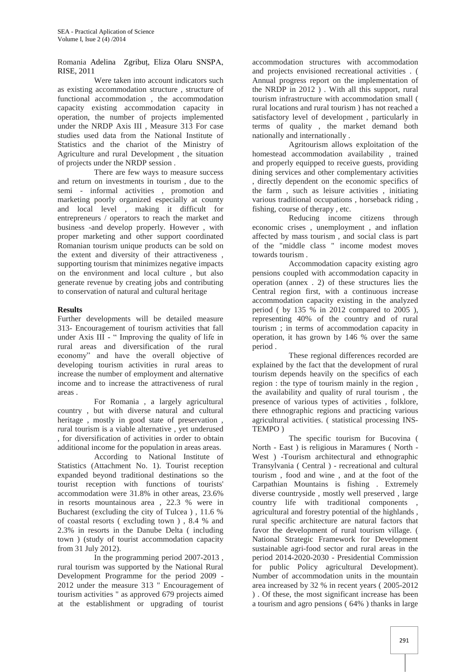#### Romania Adelina Zgribuț, Eliza Olaru SNSPA, RISE, 2011

Were taken into account indicators such as existing accommodation structure , structure of functional accommodation , the accommodation capacity existing accommodation capacity in operation, the number of projects implemented under the NRDP Axis III , Measure 313 For case studies used data from the National Institute of Statistics and the chariot of the Ministry of Agriculture and rural Development , the situation of projects under the NRDP session .

There are few ways to measure success and return on investments in tourism , due to the semi - informal activities , promotion and marketing poorly organized especially at county and local level , making it difficult for entrepreneurs / operators to reach the market and business -and develop properly. However , with proper marketing and other support coordinated Romanian tourism unique products can be sold on the extent and diversity of their attractiveness , supporting tourism that minimizes negative impacts on the environment and local culture , but also generate revenue by creating jobs and contributing to conservation of natural and cultural heritage

#### **Results**

Further developments will be detailed measure 313- Encouragement of tourism activities that fall under Axis III - " Improving the quality of life in rural areas and diversification of the rural economy" and have the overall objective of developing tourism activities in rural areas to increase the number of employment and alternative income and to increase the attractiveness of rural areas .

For Romania , a largely agricultural country , but with diverse natural and cultural heritage , mostly in good state of preservation , rural tourism is a viable alternative , yet underused , for diversification of activities in order to obtain additional income for the population in areas areas.

According to National Institute of Statistics (Attachment No. 1). Tourist reception expanded beyond traditional destinations so the tourist reception with functions of tourists' accommodation were 31.8% in other areas, 23.6% in resorts mountainous area , 22.3 % were in Bucharest (excluding the city of Tulcea ) , 11.6 % of coastal resorts ( excluding town ) , 8.4 % and 2.3% in resorts in the Danube Delta ( including town ) (study of tourist accommodation capacity from 31 July 2012).

In the programming period 2007-2013 , rural tourism was supported by the National Rural Development Programme for the period 2009 - 2012 under the measure 313 " Encouragement of tourism activities " as approved 679 projects aimed at the establishment or upgrading of tourist

accommodation structures with accommodation and projects envisioned recreational activities . ( Annual progress report on the implementation of the NRDP in 2012 ) . With all this support, rural tourism infrastructure with accommodation small ( rural locations and rural tourism ) has not reached a satisfactory level of development , particularly in terms of quality , the market demand both nationally and internationally .

Agritourism allows exploitation of the homestead accommodation availability , trained and properly equipped to receive guests, providing dining services and other complementary activities , directly dependent on the economic specifics of the farm , such as leisure activities , initiating various traditional occupations , horseback riding , fishing, course of therapy , etc.

Reducing income citizens through economic crises , unemployment , and inflation affected by mass tourism , and social class is part of the "middle class " income modest moves towards tourism .

Accommodation capacity existing agro pensions coupled with accommodation capacity in operation (annex . 2) of these structures lies the Central region first, with a continuous increase accommodation capacity existing in the analyzed period ( by 135 % in 2012 compared to 2005 ), representing 40% of the country and of rural tourism ; in terms of accommodation capacity in operation, it has grown by 146 % over the same period .

These regional differences recorded are explained by the fact that the development of rural tourism depends heavily on the specifics of each region : the type of tourism mainly in the region , the availability and quality of rural tourism , the presence of various types of activities , folklore, there ethnographic regions and practicing various agricultural activities. ( statistical processing INS- TEMPO )

The specific tourism for Bucovina ( North - East ) is religious in Maramures ( North - West ) -Tourism architectural and ethnographic Transylvania ( Central ) - recreational and cultural tourism , food and wine , and at the foot of the Carpathian Mountains is fishing . Extremely diverse countryside , mostly well preserved , large country life with traditional components agricultural and forestry potential of the highlands , rural specific architecture are natural factors that favor the development of rural tourism village. ( National Strategic Framework for Development sustainable agri-food sector and rural areas in the period 2014-2020-2030 - Presidential Commission for public Policy agricultural Development). Number of accommodation units in the mountain area increased by 32 % in recent years ( 2005-2012 ) . Of these, the most significant increase has been a tourism and agro pensions ( 64% ) thanks in large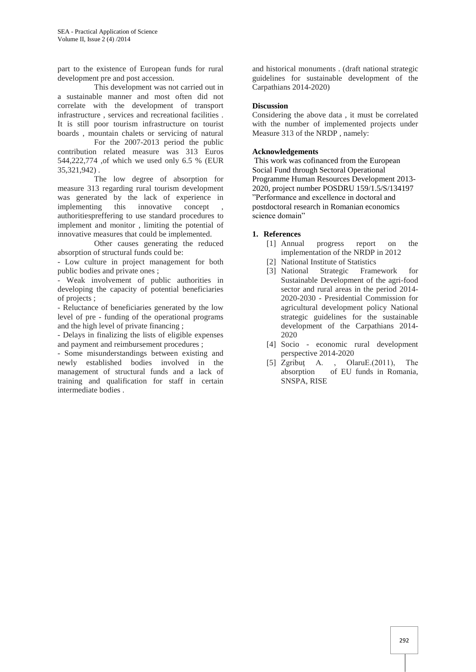part to the existence of European funds for rural development pre and post accession.

This development was not carried out in a sustainable manner and most often did not correlate with the development of transport infrastructure , services and recreational facilities . It is still poor tourism infrastructure on tourist boards , mountain chalets or servicing of natural

For the 2007-2013 period the public contribution related measure was 313 Euros 544,222,774 ,of which we used only 6.5 % (EUR 35,321,942) .

The low degree of absorption for measure 313 regarding rural tourism development was generated by the lack of experience in implementing this innovative concept authoritiespreffering to use standard procedures to implement and monitor , limiting the potential of innovative measures that could be implemented.

Other causes generating the reduced absorption of structural funds could be:

- Low culture in project management for both public bodies and private ones ;

- Weak involvement of public authorities in developing the capacity of potential beneficiaries of projects ;

- Reluctance of beneficiaries generated by the low level of pre - funding of the operational programs and the high level of private financing ;

- Delays in finalizing the lists of eligible expenses and payment and reimbursement procedures ;

- Some misunderstandings between existing and newly established bodies involved in the management of structural funds and a lack of training and qualification for staff in certain intermediate bodies .

and historical monuments . (draft national strategic guidelines for sustainable development of the Carpathians 2014-2020)

#### **Discussion**

Considering the above data , it must be correlated with the number of implemented projects under Measure 313 of the NRDP , namely:

#### **Acknowledgements**

This work was cofinanced from the European Social Fund through Sectoral Operational Programme Human Resources Development 2013- 2020, project number POSDRU 159/1.5/S/134197 "Performance and excellence in doctoral and postdoctoral research in Romanian economics science domain"

#### **1. References**

- [1] Annual progress report on the implementation of the NRDP in 2012
- [2] National Institute of Statistics
- [3] National Strategic Framework for Sustainable Development of the agri-food sector and rural areas in the period 2014- 2020-2030 - Presidential Commission for agricultural development policy National strategic guidelines for the sustainable development of the Carpathians 2014- 2020
- [4] Socio economic rural development perspective 2014-2020
- [5] Zgribut A., OlaruE.(2011), The absorption of EU funds in Romania, SNSPA, RISE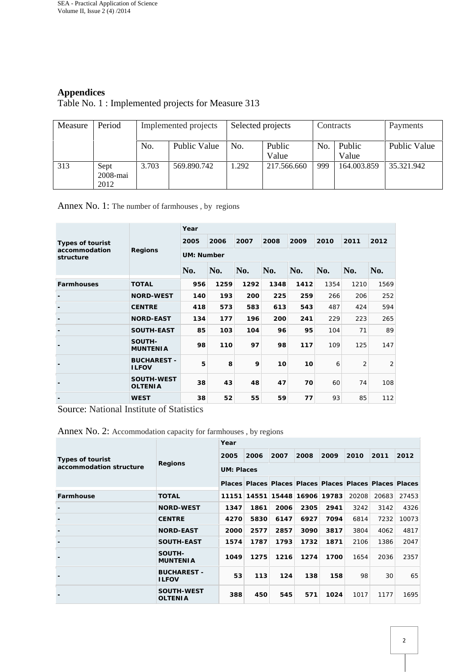# **Appendices**

# Table No. 1 : Implemented projects for Measure 313

| Measure | Period                   | Implemented projects |              | Selected projects |                 |     | Contracts       | Payments     |  |
|---------|--------------------------|----------------------|--------------|-------------------|-----------------|-----|-----------------|--------------|--|
|         |                          | No.                  | Public Value | No.               | Public<br>Value | No. | Public<br>Value | Public Value |  |
| 313     | Sept<br>2008-mai<br>2012 | 3.703                | 569.890.742  | 1.292             | 217.566.660     | 999 | 164.003.859     | 35.321.942   |  |

## Annex No. 1: The number of farmhouses , by regions

|                            |                                    | Year       |      |      |      |      |      |                |                |  |  |
|----------------------------|------------------------------------|------------|------|------|------|------|------|----------------|----------------|--|--|
| Types of tourist           |                                    | 2005       | 2006 | 2007 | 2008 | 2009 | 2010 | 2011           | 2012           |  |  |
| accommodation<br>structure | Regions                            | UM: Number |      |      |      |      |      |                |                |  |  |
|                            |                                    | No.        | No.  | No.  | No.  | No.  | No.  | No.            | No.            |  |  |
| Farmhouses                 | <b>TOTAL</b>                       | 956        | 1259 | 1292 | 1348 | 1412 | 1354 | 1210           | 1569           |  |  |
|                            | NORD-WEST                          | 140        | 193  | 200  | 225  | 259  | 266  | 206            | 252            |  |  |
|                            | <b>CENTRE</b>                      | 418        | 573  | 583  | 613  | 543  | 487  | 424            | 594            |  |  |
|                            | NORD-EAST                          | 134        | 177  | 196  | 200  | 241  | 229  | 223            | 265            |  |  |
|                            | SOUTH-EAST                         | 85         | 103  | 104  | 96   | 95   | 104  | 71             | 89             |  |  |
|                            | SOUTH-<br><b>MUNTENIA</b>          | 98         | 110  | 97   | 98   | 117  | 109  | 125            | 147            |  |  |
| $\overline{\phantom{a}}$   | <b>BUCHAREST -</b><br><b>ILFOV</b> | 5          | 8    | 9    | 10   | 10   | 6    | $\overline{2}$ | $\overline{2}$ |  |  |
|                            | SOUTH-WEST<br><b>OLTENIA</b>       | 38         | 43   | 48   | 47   | 70   | 60   | 74             | 108            |  |  |
|                            | <b>WEST</b>                        | 38         | 52   | 55   | 59   | 77   | 93   | 85             | 112            |  |  |

Source: National Institute of Statistics

#### Annex No. 2: Accommodation capacity for farmhouses , by regions

|                         |                                    | Year                                                    |       |      |             |       |                       |       |       |  |  |
|-------------------------|------------------------------------|---------------------------------------------------------|-------|------|-------------|-------|-----------------------|-------|-------|--|--|
| Types of tourist        |                                    | 2005                                                    | 2006  | 2007 | 2008        | 2009  | 2010                  | 2011  | 2012  |  |  |
| accommodation structure | Regions                            | UM: Places                                              |       |      |             |       | 20208<br>3242<br>6814 |       |       |  |  |
|                         |                                    | Places Places Places Places Places Places Places Places |       |      |             |       |                       |       |       |  |  |
| Farmhouse               | <b>TOTAL</b>                       | 11151                                                   | 14551 |      | 15448 16906 | 19783 |                       | 20683 | 27453 |  |  |
|                         | NORD-WEST                          | 1347                                                    | 1861  | 2006 | 2305        | 2941  |                       | 3142  | 4326  |  |  |
|                         | <b>CENTRE</b>                      | 4270                                                    | 5830  | 6147 | 6927        | 7094  |                       | 7232  | 10073 |  |  |
|                         | <b>NORD-EAST</b>                   | 2000                                                    | 2577  | 2857 | 3090        | 3817  | 3804                  | 4062  | 4817  |  |  |
|                         | SOUTH-EAST                         | 1574                                                    | 1787  | 1793 | 1732        | 1871  | 2106                  | 1386  | 2047  |  |  |
|                         | SOUTH-<br><b>MUNTENIA</b>          | 1049                                                    | 1275  | 1216 | 1274        | 1700  | 1654                  | 2036  | 2357  |  |  |
|                         | <b>BUCHAREST -</b><br><b>ILFOV</b> | 53                                                      | 113   | 124  | 138         | 158   | 98                    | 30    | 65    |  |  |
|                         | SOUTH-WEST<br><b>OLTENIA</b>       | 388                                                     | 450   | 545  | 571         | 1024  | 1017                  | 1177  | 1695  |  |  |